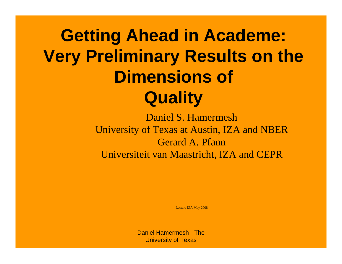## **Getting Ahead in Academe: Very Preliminary Results on the Dimensions of Quality**

Daniel S. Hamermesh University of Texas at Austin, IZA and NBER Gerard A. PfannUniversiteit van Maastricht, IZA and CEPR

Lecture IZA May 2008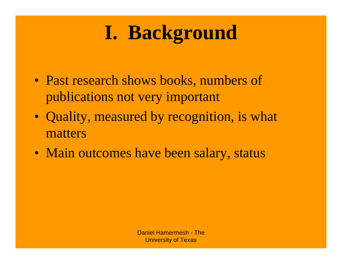# **I. Background**

- Past research shows books, numbers of publications not very important
- Quality, measured by recognition, is what matters
- Main outcomes have been salary, status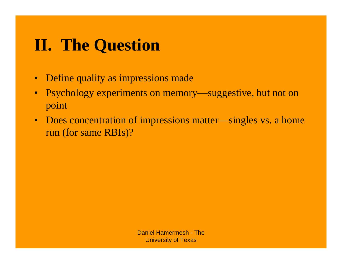### **II. The Question**

- Define quality as impressions made
- Psychology experiments on memory—suggestive, but not on point
- Does concentration of impressions matter—singles vs. a home run (for same RBIs)?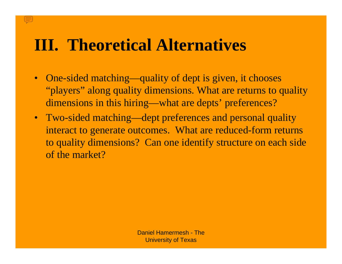### **III. Theoretical Alternatives**

- One-sided matching—quality of dept is given, it chooses "players" along quality dimensions. What are returns to quality dimensions in this hiring—what are depts' preferences?
- Two-sided matching—dept preferences and personal quality interact to generate outcomes. What are reduced-form returns to quality dimensions? Can one identify structure on each side of the market?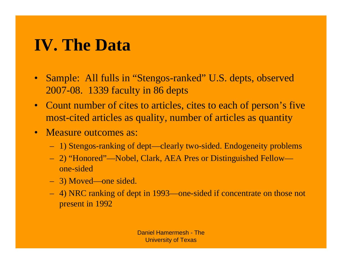### **IV. The Data**

- Sample: All fulls in "Stengos-ranked" U.S. depts, observed 2007-08. 1339 faculty in 86 depts
- Count number of cites to articles, cites to each of person's five most-cited articles as quality, number of articles as quantity
- Measure outcomes as:
	- 1) Stengos-ranking of dept—clearly two-sided. Endogeneity problems
	- 2) "Honored"—Nobel, Clark, AEA Pres or Distinguished Fellow one-sided
	- 3) Moved—one sided.
	- 4) NRC ranking of dept in 1993—one-sided if concentrate on those not present in 1992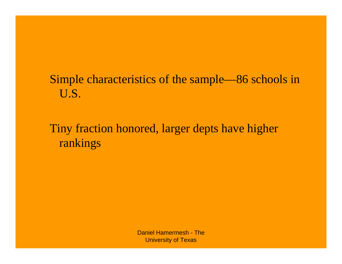### Simple characteristics of the sample—86 schools in U.S.

### Tiny fraction honored, larger depts have higher rankings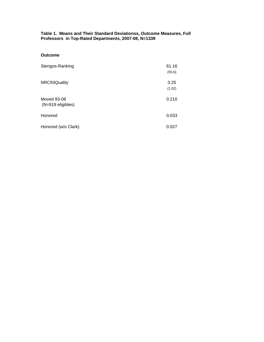#### **Table 1. Means and Their Standard Deviationss, Outcome Measures, Full Professors in Top-Rated Departments, 2007-08, N=1339**

#### **Outcome**

| Stengos-Ranking                    | 61.16<br>(55.6) |
|------------------------------------|-----------------|
| NRC93Quality                       | 3.25<br>(1.02)  |
| Moved 93-08<br>$(N=919$ eligibles) | 0.210           |
| Honored                            | 0.033           |
| Honored (w/o Clark)                | 0.027           |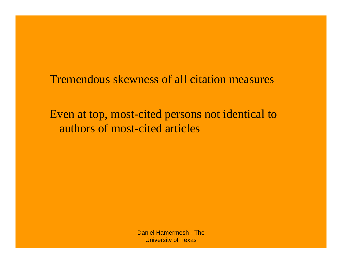Tremendous skewness of all citation measures

Even at top, most-cited persons not identical to authors of most-cited articles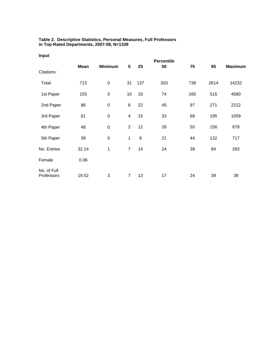#### **Table 2. Descriptive Statistics, Personal Measures, Full Professors in Top-Rated Departments, 2007-08, N=1339**

|                           |             |                  |                |                  | <b>Percentile</b> |     |      |                |
|---------------------------|-------------|------------------|----------------|------------------|-------------------|-----|------|----------------|
| Citations:                | <b>Mean</b> | <b>Minimum</b>   | $\sqrt{5}$     | 25               | 50                | 75  | 95   | <b>Maximum</b> |
| Total                     | 713         | $\pmb{0}$        | 31             | 137              | 320               | 738 | 2614 | 14232          |
| 1st Paper                 | 155         | $\mathbf 0$      | 10             | 33               | 74                | 160 | 515  | 4580           |
| 2nd Paper                 | 86          | $\pmb{0}$        | 6              | 22               | 45                | 97  | 271  | 2212           |
| 3rd Paper                 | 61          | $\pmb{0}$        | $\overline{4}$ | 15               | 33                | 69  | 195  | 1059           |
| 4th Paper                 | 48          | $\boldsymbol{0}$ | $\overline{2}$ | 12               | 26                | 55  | 156  | 879            |
| 5th Paper                 | 39          | $\pmb{0}$        | 1              | $\boldsymbol{9}$ | 21                | 44  | 132  | 717            |
| No. Entries               | 32.14       | 1                | $\overline{7}$ | 14               | 24                | 39  | 84   | 283            |
| Female                    | 0.06        |                  |                |                  |                   |     |      |                |
| No. of Full<br>Professors | 19.52       | 3                | $\overline{7}$ | 13               | 17                | 24  | 39   | 39             |

#### **Input**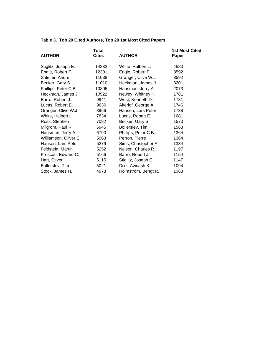#### **Table 3. Top 20 Cited Authors, Top 20 1st Most Cited Papers**

|                       | Total        |                      | <b>1st Most Cited</b> |
|-----------------------|--------------|----------------------|-----------------------|
| <b>AUTHOR</b>         | <b>Cites</b> | <b>AUTHOR</b>        | Paper                 |
|                       |              |                      |                       |
| Stiglitz, Joseph E.   | 14232        | White, Halbert L.    | 4580                  |
| Engle, Robert F.      | 12301        | Engle, Robert F.     | 3592                  |
| Shleifer, Andrei      | 11038        | Granger, Clive W.J.  | 3592                  |
| Becker, Gary S.       | 11010        | Heckman, James J.    | 3201                  |
| Phillips, Peter C.B.  | 10805        | Hausman, Jerry A.    | 2073                  |
| Heckman, James J.     | 10522        | Newey, Whitney K.    | 1781                  |
| Barro, Robert J.      | 9941         | West, Kenneth D.     | 1781                  |
| Lucas, Robert E.      | 9630         | Akerlof, George A.   | 1746                  |
| Granger, Clive W.J.   | 8966         | Hansen, Lars Peter   | 1738                  |
| White, Halbert L.     | 7834         | Lucas, Robert E.     | 1681                  |
| Ross, Stephen         | 7082         | Becker, Gary S.      | 1570                  |
| Milgrom, Paul R.      | 6945         | Bollerslev, Tim      | 1568                  |
| Hausman, Jerry A.     | 6790         | Phillips, Peter C.B. | 1364                  |
| Williamson, Oliver E. | 5963         | Perron, Pierre       | 1364                  |
| Hansen, Lars Peter    | 5279         | Sims, Christopher A. | 1334                  |
| Feldstein, Martin     | 5252         | Nelson, Charles R.   | 1197                  |
| Prescott, Edward C.   | 5166         | Barro, Robert J.     | 1154                  |
| Hart, Oliver          | 5115         | Stiglitz, Joseph E.  | 1147                  |
| Bollerslev, Tim       | 5021         | Dixit, Avinash K.    | 1094                  |
| Stock, James H.       | 4973         | Holmstrom, Bengt R.  | 1063                  |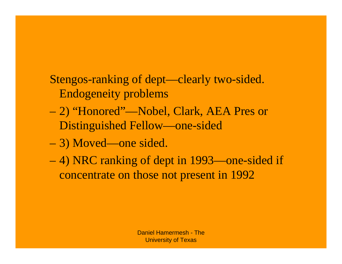Stengos-ranking of dept—clearly two-sided. Endogeneity problems

- 2) "Honored"—Nobel, Clark, AEA Pres or Distinguished Fellow—one-sided
- 3) Moved—one sided.
- 4) NRC ranking of dept in 1993—one-sided if concentrate on those not present in 1992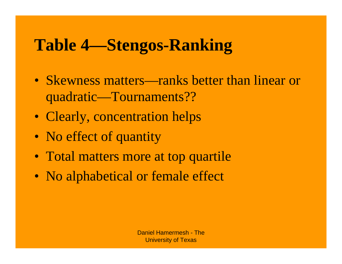### **Table 4—Stengos-Ranking**

- Skewness matters—ranks better than linear or quadratic—Tournaments??
- Clearly, concentration helps
- No effect of quantity
- Total matters more at top quartile
- No alphabetical or female effect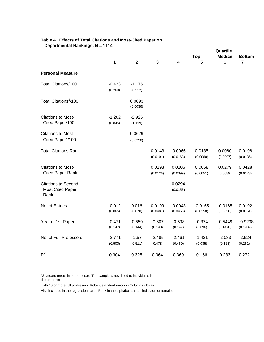| Table 4. Effects of Total Citations and Most-Cited Paper on |  |
|-------------------------------------------------------------|--|
| Departmental Rankings, N = 1114                             |  |

|                                                                | 1                   | $\overline{2}$      | 3                   | $\overline{\mathbf{4}}$ | <b>Top</b><br>5       | Quartile<br><b>Median</b><br>6 | <b>Bottom</b><br>$\overline{7}$ |
|----------------------------------------------------------------|---------------------|---------------------|---------------------|-------------------------|-----------------------|--------------------------------|---------------------------------|
| <b>Personal Measure</b>                                        |                     |                     |                     |                         |                       |                                |                                 |
|                                                                |                     |                     |                     |                         |                       |                                |                                 |
| Total Citations/100                                            | $-0.423$<br>(0.269) | $-1.175$<br>(0.532) |                     |                         |                       |                                |                                 |
| Total Citations <sup>2</sup> /100                              |                     | 0.0093<br>(0.0036)  |                     |                         |                       |                                |                                 |
| <b>Citations to Most-</b><br>Cited Paper/100                   | $-1.202$<br>(0.845) | $-2.925$<br>(1.119) |                     |                         |                       |                                |                                 |
| <b>Citations to Most-</b><br>Cited Paper <sup>2</sup> /100     |                     | 0.0629<br>(0.0236)  |                     |                         |                       |                                |                                 |
| <b>Total Citations Rank</b>                                    |                     |                     | 0.0143<br>(0.0101)  | $-0.0066$<br>(0.0163)   | 0.0135<br>(0.0060)    | 0.0080<br>(0.0097)             | 0.0198<br>(0.0136)              |
| <b>Citations to Most-</b><br><b>Cited Paper Rank</b>           |                     |                     | 0.0293<br>(0.0126)  | 0.0206<br>(0.0099)      | 0.0058<br>(0.0051)    | 0.0279<br>(0.0089)             | 0.0428<br>(0.0128)              |
| <b>Citations to Second-</b><br><b>Most Cited Paper</b><br>Rank |                     |                     |                     | 0.0294<br>(0.0155)      |                       |                                |                                 |
| No. of Entries                                                 | $-0.012$<br>(0.065) | 0.016<br>(0.070)    | 0.0199<br>(0.0487)  | $-0.0043$<br>(0.0458)   | $-0.0165$<br>(0.0350) | $-0.0165$<br>(0.0056)          | 0.0192<br>(0.0761)              |
| Year of 1st Paper                                              | $-0.471$<br>(0.147) | $-0.550$<br>(0.144) | $-0.607$<br>(0.148) | $-0.598$<br>(0.147)     | $-0.374$<br>(0.096)   | $-0.5449$<br>(0.1470)          | $-0.9298$<br>(0.1939)           |
| No. of Full Professors                                         | $-2.771$<br>(0.500) | $-2.57$<br>(0.511)  | $-2.485$<br>0.478   | $-2.461$<br>(0.480)     | $-1.431$<br>(0.085)   | $-2.083$<br>(0.168)            | $-2.524$<br>(0.261)             |
| $R^2$                                                          | 0.304               | 0.325               | 0.364               | 0.369                   | 0.156                 | 0.233                          | 0.272                           |

\*Standard errors in parentheses. The sample is restricted to individuals in departments

with 10 or more full professors. Robust standard errors in Columns (1)-(4).

Also included in the regressions are: Rank in the alphabet and an indicator for female.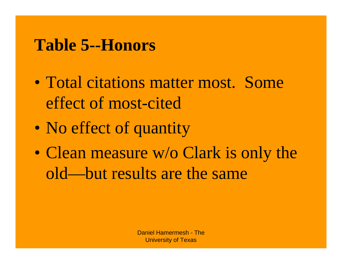### **Table 5--Honors**

- Total citations matter most. Some effect of most-cited
- No effect of quantity
- Clean measure w/o Clark is only the old—but results are the same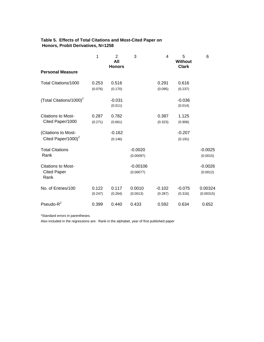#### **Table 5. Effects of Total Citations and Most-Cited Paper on Honors, Probit Derivatives, N=1258**

|                                     | 1                | 2<br>All<br><b>Honors</b> | 3                  | 4                   | 5<br><b>Without</b><br><b>Clark</b> | 6                    |
|-------------------------------------|------------------|---------------------------|--------------------|---------------------|-------------------------------------|----------------------|
| <b>Personal Measure</b>             |                  |                           |                    |                     |                                     |                      |
| Total Citations/1000                | 0.253            | 0.516                     |                    | 0.291               | 0.616                               |                      |
|                                     | (0.076)          | (0.170)                   |                    | (0.095)             | (0.237)                             |                      |
| (Total Citations/1000) <sup>2</sup> |                  | $-0.031$                  |                    |                     | $-0.036$                            |                      |
|                                     |                  | (0.011)                   |                    |                     | (0.014)                             |                      |
| <b>Citations to Most-</b>           | 0.287            | 0.782                     |                    | 0.387               | 1.125                               |                      |
| Cited Paper/1000                    | (0.271)          | (0.661)                   |                    | (0.323)             | (0.906)                             |                      |
| (Citations to Most-                 |                  | $-0.162$                  |                    |                     | $-0.207$                            |                      |
| Cited Paper/1000) $^2$              |                  | (0.146)                   |                    |                     | (0.191)                             |                      |
| <b>Total Citations</b>              |                  |                           | $-0.0020$          |                     |                                     | $-0.0025$            |
| Rank                                |                  |                           | (0.00097)          |                     |                                     | (0.0015)             |
| <b>Citations to Most-</b>           |                  |                           | $-0.00106$         |                     |                                     | $-0.0026$            |
| <b>Cited Paper</b><br>Rank          |                  |                           | (0.00077)          |                     |                                     | (0.0012)             |
| No. of Entries/100                  | 0.122<br>(0.247) | 0.117<br>(0.264)          | 0.0010<br>(0.0013) | $-0.102$<br>(0.287) | $-0.075$<br>(0.316)                 | 0.00324<br>(0.00315) |
| Pseudo- $R^2$                       | 0.399            | 0.440                     | 0.433              | 0.592               | 0.634                               | 0.652                |

\*Standard errors in parentheses.

Also included in the regressions are: Rank in the alphabet, year of first published paper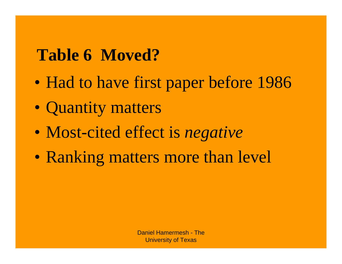### **Table 6 Moved?**

- Had to have first paper before 1986
- Quantity matters
- Most-cited effect is *negative*
- Ranking matters more than level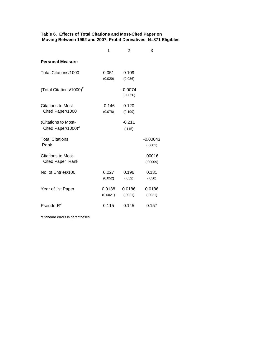#### **Table 6. Effects of Total Citations and Most-Cited Paper on Moving Between 1992 and 2007, Probit Derivatives, N=871 Eligibles**

|                                                 | 1                   | $\overline{2}$        | 3                     |
|-------------------------------------------------|---------------------|-----------------------|-----------------------|
| <b>Personal Measure</b>                         |                     |                       |                       |
| Total Citations/1000                            | 0.051<br>(0.020)    | 0.109<br>(0.036)      |                       |
| (Total Citations/1000) <sup>2</sup>             |                     | $-0.0074$<br>(0.0026) |                       |
| Citations to Most-<br>Cited Paper/1000          | $-0.146$<br>(0.078) | 0.120<br>(0.199)      |                       |
| (Citations to Most-<br>Cited Paper/1000) $^{2}$ |                     | $-0.211$<br>(.115)    |                       |
| <b>Total Citations</b><br>Rank                  |                     |                       | $-0.00043$<br>(.0001) |
| <b>Citations to Most-</b><br>Cited Paper Rank   |                     |                       | .00016<br>(.00009)    |
| No. of Entries/100                              | 0.227<br>(0.052)    | 0.196<br>(.052)       | 0.131<br>(.050)       |
| Year of 1st Paper                               | 0.0188<br>(0.0021)  | 0.0186<br>(.0021)     | 0.0186<br>(.0021)     |
| Pseudo- $R^2$                                   | 0.115               | 0.145                 | 0.157                 |

\*Standard errors in parentheses.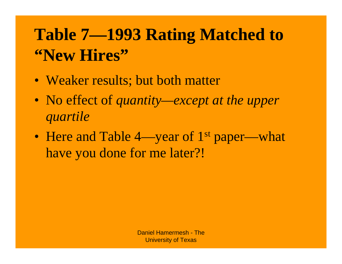## **Table 7—1993 Rating Matched to "New Hires"**

- Weaker results; but both matter
- No effect of *quantity—except at the upper quartile*
- Here and Table 4—year of 1<sup>st</sup> paper—what have you done for me later?!